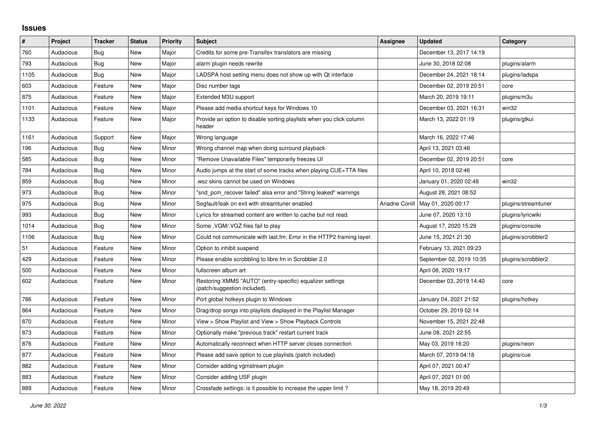## **Issues**

| #    | Project   | <b>Tracker</b> | <b>Status</b> | <b>Priority</b> | <b>Subject</b>                                                                            | Assignee | <b>Updated</b>                      | Category            |
|------|-----------|----------------|---------------|-----------------|-------------------------------------------------------------------------------------------|----------|-------------------------------------|---------------------|
| 760  | Audacious | <b>Bug</b>     | New           | Major           | Credits for some pre-Transifex translators are missing                                    |          | December 13, 2017 14:19             |                     |
| 793  | Audacious | Bug            | <b>New</b>    | Major           | alarm plugin needs rewrite                                                                |          | June 30, 2018 02:08                 | plugins/alarm       |
| 1105 | Audacious | Bug            | New           | Major           | LADSPA host setting menu does not show up with Qt interface                               |          | December 24, 2021 18:14             | plugins/ladspa      |
| 603  | Audacious | Feature        | <b>New</b>    | Major           | Disc number tags                                                                          |          | December 02, 2019 20:51             | core                |
| 875  | Audacious | Feature        | New           | Major           | Extended M3U support                                                                      |          | March 20, 2019 19:11                | plugins/m3u         |
| 1101 | Audacious | Feature        | New           | Major           | Please add media shortcut keys for Windows 10                                             |          | December 03, 2021 16:31             | win32               |
| 1133 | Audacious | Feature        | New           | Major           | Provide an option to disable sorting playlists when you click column<br>header            |          | March 13, 2022 01:19                | plugins/gtkui       |
| 1161 | Audacious | Support        | New           | Major           | Wrong language                                                                            |          | March 16, 2022 17:46                |                     |
| 196  | Audacious | Bug            | New           | Minor           | Wrong channel map when doing surround playback                                            |          | April 13, 2021 03:48                |                     |
| 585  | Audacious | Bug            | <b>New</b>    | Minor           | "Remove Unavailable Files" temporarily freezes UI                                         |          | December 02, 2019 20:51             | core                |
| 784  | Audacious | Bug            | New           | Minor           | Audio jumps at the start of some tracks when playing CUE+TTA files                        |          | April 10, 2018 02:46                |                     |
| 859  | Audacious | Bug            | New           | Minor           | wsz skins cannot be used on Windows                                                       |          | January 01, 2020 02:48              | win32               |
| 973  | Audacious | Bug            | <b>New</b>    | Minor           | "snd pcm recover failed" alsa error and "String leaked" warnings                          |          | August 28, 2021 08:52               |                     |
| 975  | Audacious | Bug            | New           | Minor           | Segfault/leak on exit with streamtuner enabled                                            |          | Ariadne Conill   May 01, 2020 00:17 | plugins/streamtuner |
| 993  | Audacious | Bug            | New           | Minor           | Lyrics for streamed content are written to cache but not read.                            |          | June 07, 2020 13:10                 | plugins/lyricwiki   |
| 1014 | Audacious | Bug            | <b>New</b>    | Minor           | Some .VGM/.VGZ files fail to play                                                         |          | August 17, 2020 15:29               | plugins/console     |
| 1106 | Audacious | Bug            | New           | Minor           | Could not communicate with last.fm: Error in the HTTP2 framing layer.                     |          | June 15, 2021 21:30                 | plugins/scrobbler2  |
| 51   | Audacious | Feature        | <b>New</b>    | Minor           | Option to inhibit suspend                                                                 |          | February 13, 2021 09:23             |                     |
| 429  | Audacious | Feature        | New           | Minor           | Please enable scrobbling to libre.fm in Scrobbler 2.0                                     |          | September 02, 2019 10:35            | plugins/scrobbler2  |
| 500  | Audacious | Feature        | New           | Minor           | fullscreen album art                                                                      |          | April 08, 2020 19:17                |                     |
| 602  | Audacious | Feature        | <b>New</b>    | Minor           | Restoring XMMS "AUTO" (entry-specific) equalizer settings<br>(patch/suggestion included). |          | December 03, 2019 14:40             | core                |
| 786  | Audacious | Feature        | <b>New</b>    | Minor           | Port global hotkeys plugin to Windows                                                     |          | January 04, 2021 21:52              | plugins/hotkey      |
| 864  | Audacious | Feature        | <b>New</b>    | Minor           | Drag/drop songs into playlists displayed in the Playlist Manager                          |          | October 29, 2019 02:14              |                     |
| 870  | Audacious | Feature        | New           | Minor           | View > Show Playlist and View > Show Playback Controls                                    |          | November 15, 2021 22:48             |                     |
| 873  | Audacious | Feature        | New           | Minor           | Optionally make "previous track" restart current track                                    |          | June 08, 2021 22:55                 |                     |
| 876  | Audacious | Feature        | <b>New</b>    | Minor           | Automatically reconnect when HTTP server closes connection                                |          | May 03, 2019 16:20                  | plugins/neon        |
| 877  | Audacious | Feature        | New           | Minor           | Please add save option to cue playlists (patch included)                                  |          | March 07, 2019 04:18                | plugins/cue         |
| 882  | Audacious | Feature        | New           | Minor           | Consider adding vgmstream plugin                                                          |          | April 07, 2021 00:47                |                     |
| 883  | Audacious | Feature        | <b>New</b>    | Minor           | Consider adding USF plugin                                                                |          | April 07, 2021 01:00                |                     |
| 889  | Audacious | Feature        | <b>New</b>    | Minor           | Crossfade settings: is it possible to increase the upper limit?                           |          | May 18, 2019 20:49                  |                     |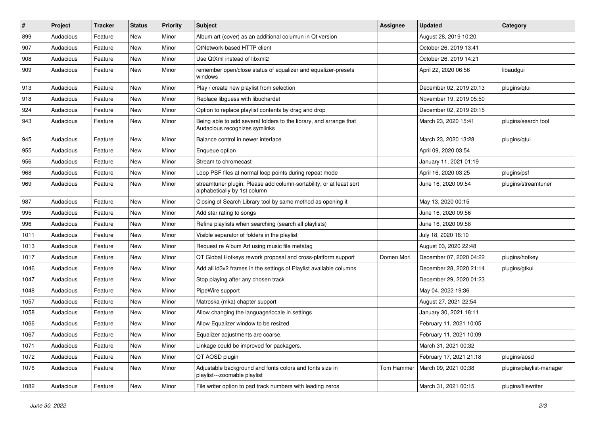| $\vert$ # | Project   | <b>Tracker</b> | <b>Status</b> | <b>Priority</b> | <b>Subject</b>                                                                                      | Assignee   | <b>Updated</b>          | Category                 |
|-----------|-----------|----------------|---------------|-----------------|-----------------------------------------------------------------------------------------------------|------------|-------------------------|--------------------------|
| 899       | Audacious | Feature        | New           | Minor           | Album art (cover) as an additional columun in Qt version                                            |            | August 28, 2019 10:20   |                          |
| 907       | Audacious | Feature        | <b>New</b>    | Minor           | QtNetwork-based HTTP client                                                                         |            | October 26, 2019 13:41  |                          |
| 908       | Audacious | Feature        | New           | Minor           | Use QtXml instead of libxml2                                                                        |            | October 26, 2019 14:21  |                          |
| 909       | Audacious | Feature        | New           | Minor           | remember open/close status of equalizer and equalizer-presets<br>windows                            |            | April 22, 2020 06:56    | libaudgui                |
| 913       | Audacious | Feature        | New           | Minor           | Play / create new playlist from selection                                                           |            | December 02, 2019 20:13 | plugins/qtui             |
| 918       | Audacious | Feature        | New           | Minor           | Replace libguess with libuchardet                                                                   |            | November 19, 2019 05:50 |                          |
| 924       | Audacious | Feature        | New           | Minor           | Option to replace playlist contents by drag and drop                                                |            | December 02, 2019 20:15 |                          |
| 943       | Audacious | Feature        | New           | Minor           | Being able to add several folders to the library, and arrange that<br>Audacious recognizes symlinks |            | March 23, 2020 15:41    | plugins/search tool      |
| 945       | Audacious | Feature        | New           | Minor           | Balance control in newer interface                                                                  |            | March 23, 2020 13:28    | plugins/qtui             |
| 955       | Audacious | Feature        | New           | Minor           | Enqueue option                                                                                      |            | April 09, 2020 03:54    |                          |
| 956       | Audacious | Feature        | <b>New</b>    | Minor           | Stream to chromecast                                                                                |            | January 11, 2021 01:19  |                          |
| 968       | Audacious | Feature        | New           | Minor           | Loop PSF files at normal loop points during repeat mode                                             |            | April 16, 2020 03:25    | plugins/psf              |
| 969       | Audacious | Feature        | New           | Minor           | streamtuner plugin: Please add column-sortability, or at least sort<br>alphabetically by 1st column |            | June 16, 2020 09:54     | plugins/streamtuner      |
| 987       | Audacious | Feature        | <b>New</b>    | Minor           | Closing of Search Library tool by same method as opening it                                         |            | May 13, 2020 00:15      |                          |
| 995       | Audacious | Feature        | <b>New</b>    | Minor           | Add star rating to songs                                                                            |            | June 16, 2020 09:56     |                          |
| 996       | Audacious | Feature        | New           | Minor           | Refine playlists when searching (search all playlists)                                              |            | June 16, 2020 09:58     |                          |
| 1011      | Audacious | Feature        | New           | Minor           | Visible separator of folders in the playlist                                                        |            | July 18, 2020 16:10     |                          |
| 1013      | Audacious | Feature        | New           | Minor           | Request re Album Art using music file metatag                                                       |            | August 03, 2020 22:48   |                          |
| 1017      | Audacious | Feature        | New           | Minor           | QT Global Hotkeys rework proposal and cross-platform support                                        | Domen Mori | December 07, 2020 04:22 | plugins/hotkey           |
| 1046      | Audacious | Feature        | New           | Minor           | Add all id3v2 frames in the settings of Playlist available columns                                  |            | December 28, 2020 21:14 | plugins/gtkui            |
| 1047      | Audacious | Feature        | New           | Minor           | Stop playing after any chosen track                                                                 |            | December 29, 2020 01:23 |                          |
| 1048      | Audacious | Feature        | New           | Minor           | PipeWire support                                                                                    |            | May 04, 2022 19:36      |                          |
| 1057      | Audacious | Feature        | <b>New</b>    | Minor           | Matroska (mka) chapter support                                                                      |            | August 27, 2021 22:54   |                          |
| 1058      | Audacious | Feature        | New           | Minor           | Allow changing the language/locale in settings                                                      |            | January 30, 2021 18:11  |                          |
| 1066      | Audacious | Feature        | New           | Minor           | Allow Equalizer window to be resized.                                                               |            | February 11, 2021 10:05 |                          |
| 1067      | Audacious | Feature        | New           | Minor           | Equalizer adjustments are coarse.                                                                   |            | February 11, 2021 10:09 |                          |
| 1071      | Audacious | Feature        | New           | Minor           | Linkage could be improved for packagers.                                                            |            | March 31, 2021 00:32    |                          |
| 1072      | Audacious | Feature        | New           | Minor           | QT AOSD plugin                                                                                      |            | February 17, 2021 21:18 | plugins/aosd             |
| 1076      | Audacious | Feature        | New           | Minor           | Adjustable background and fonts colors and fonts size in<br>playlist---zoomable playlist            | Tom Hammer | March 09, 2021 00:38    | plugins/playlist-manager |
| 1082      | Audacious | Feature        | New           | Minor           | File writer option to pad track numbers with leading zeros                                          |            | March 31, 2021 00:15    | plugins/filewriter       |